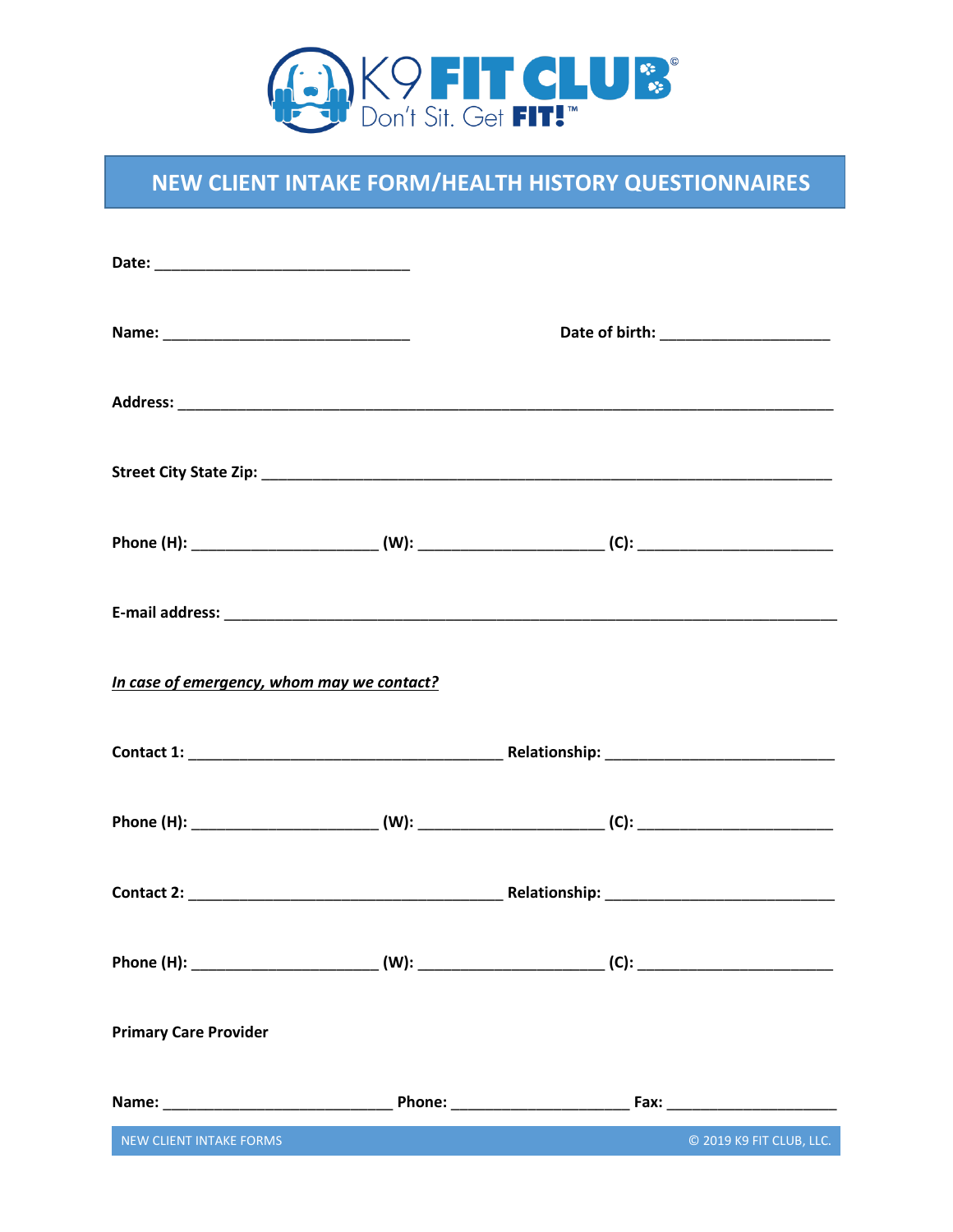

# NEW CLIENT INTAKE FORM/HEALTH HISTORY QUESTIONNAIRES

| Phone (H): ____________________________(W): ____________________________(C): ________________________________ |  |                          |
|---------------------------------------------------------------------------------------------------------------|--|--------------------------|
|                                                                                                               |  |                          |
| In case of emergency, whom may we contact?                                                                    |  |                          |
|                                                                                                               |  |                          |
|                                                                                                               |  |                          |
|                                                                                                               |  |                          |
| Phone (H): ____________________________(W): ____________________________(C): ________________________________ |  |                          |
| <b>Primary Care Provider</b>                                                                                  |  |                          |
|                                                                                                               |  |                          |
| NEW CLIENT INTAKE FORMS                                                                                       |  | © 2019 K9 FIT CLUB, LLC. |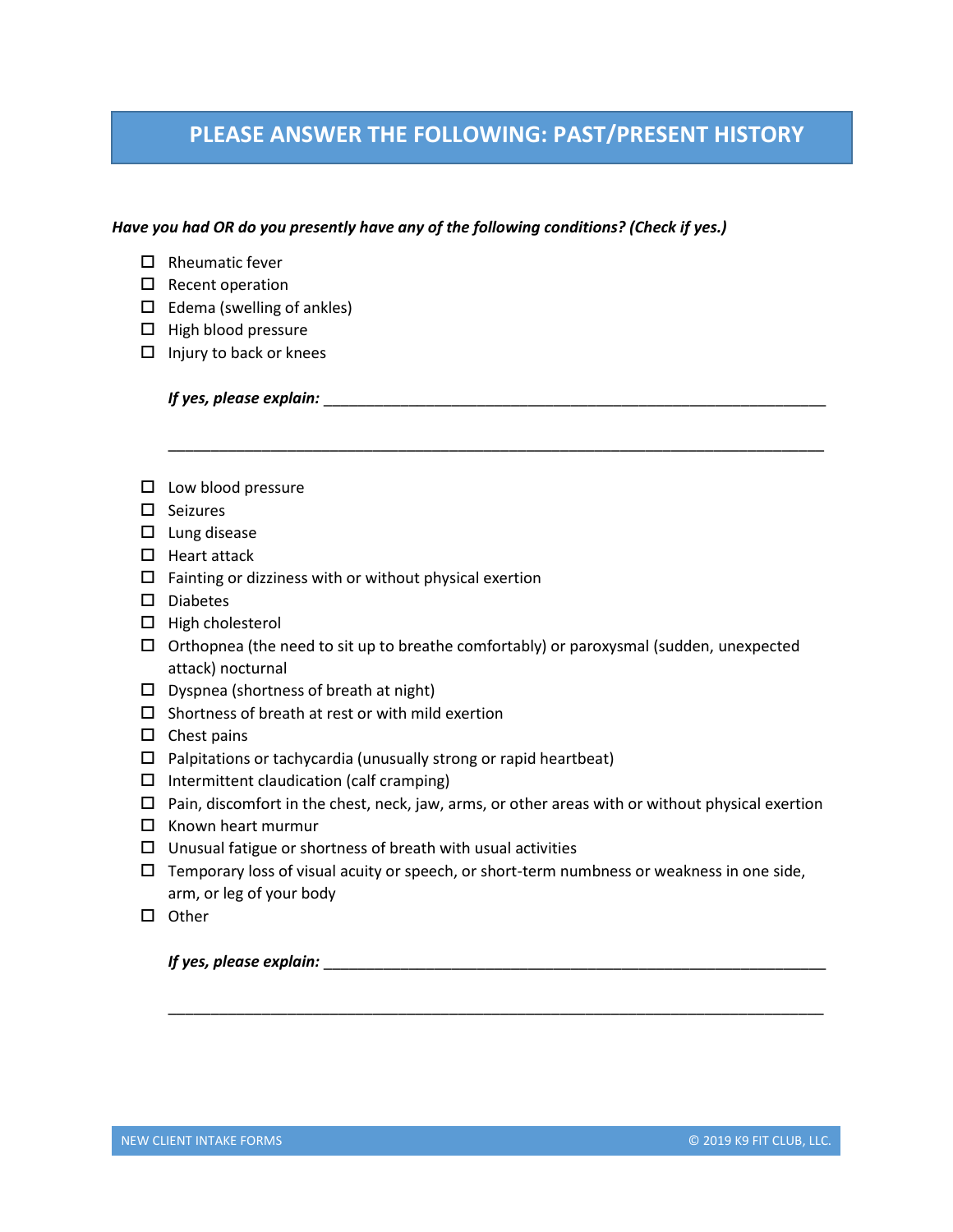### **PLEASE ANSWER THE FOLLOWING: PAST/PRESENT HISTORY**

\_\_\_\_\_\_\_\_\_\_\_\_\_\_\_\_\_\_\_\_\_\_\_\_\_\_\_\_\_\_\_\_\_\_\_\_\_\_\_\_\_\_\_\_\_\_\_\_\_\_\_\_\_\_\_\_\_\_\_\_\_\_\_\_\_\_\_\_\_\_\_\_\_\_\_\_\_

### *Have you had OR do you presently have any of the following conditions? (Check if yes.)*

- $\Box$  Rheumatic fever
- $\square$  Recent operation
- $\Box$  Edema (swelling of ankles)
- $\Box$  High blood pressure
- $\Box$  Injury to back or knees

*If yes, please explain:* \_\_\_\_\_\_\_\_\_\_\_\_\_\_\_\_\_\_\_\_\_\_\_\_\_\_\_\_\_\_\_\_\_\_\_\_\_\_\_\_\_\_\_\_\_\_\_\_\_\_\_\_\_\_\_\_\_\_\_

- $\square$  Low blood pressure
- $\square$  Seizures
- $\square$  Lung disease
- $\Box$  Heart attack
- $\Box$  Fainting or dizziness with or without physical exertion
- □ Diabetes
- $\Box$  High cholesterol
- $\Box$  Orthopnea (the need to sit up to breathe comfortably) or paroxysmal (sudden, unexpected attack) nocturnal
- $\square$  Dyspnea (shortness of breath at night)
- $\square$  Shortness of breath at rest or with mild exertion
- $\square$  Chest pains
- $\Box$  Palpitations or tachycardia (unusually strong or rapid heartbeat)
- $\Box$  Intermittent claudication (calf cramping)
- $\Box$  Pain, discomfort in the chest, neck, jaw, arms, or other areas with or without physical exertion
- $\Box$  Known heart murmur
- $\Box$  Unusual fatigue or shortness of breath with usual activities
- $\Box$  Temporary loss of visual acuity or speech, or short-term numbness or weakness in one side, arm, or leg of your body

\_\_\_\_\_\_\_\_\_\_\_\_\_\_\_\_\_\_\_\_\_\_\_\_\_\_\_\_\_\_\_\_\_\_\_\_\_\_\_\_\_\_\_\_\_\_\_\_\_\_\_\_\_\_\_\_\_\_\_\_\_\_\_\_\_\_\_\_\_\_\_\_\_\_\_\_\_

 $\square$  Other

*If yes, please explain:* \_\_\_\_\_\_\_\_\_\_\_\_\_\_\_\_\_\_\_\_\_\_\_\_\_\_\_\_\_\_\_\_\_\_\_\_\_\_\_\_\_\_\_\_\_\_\_\_\_\_\_\_\_\_\_\_\_\_\_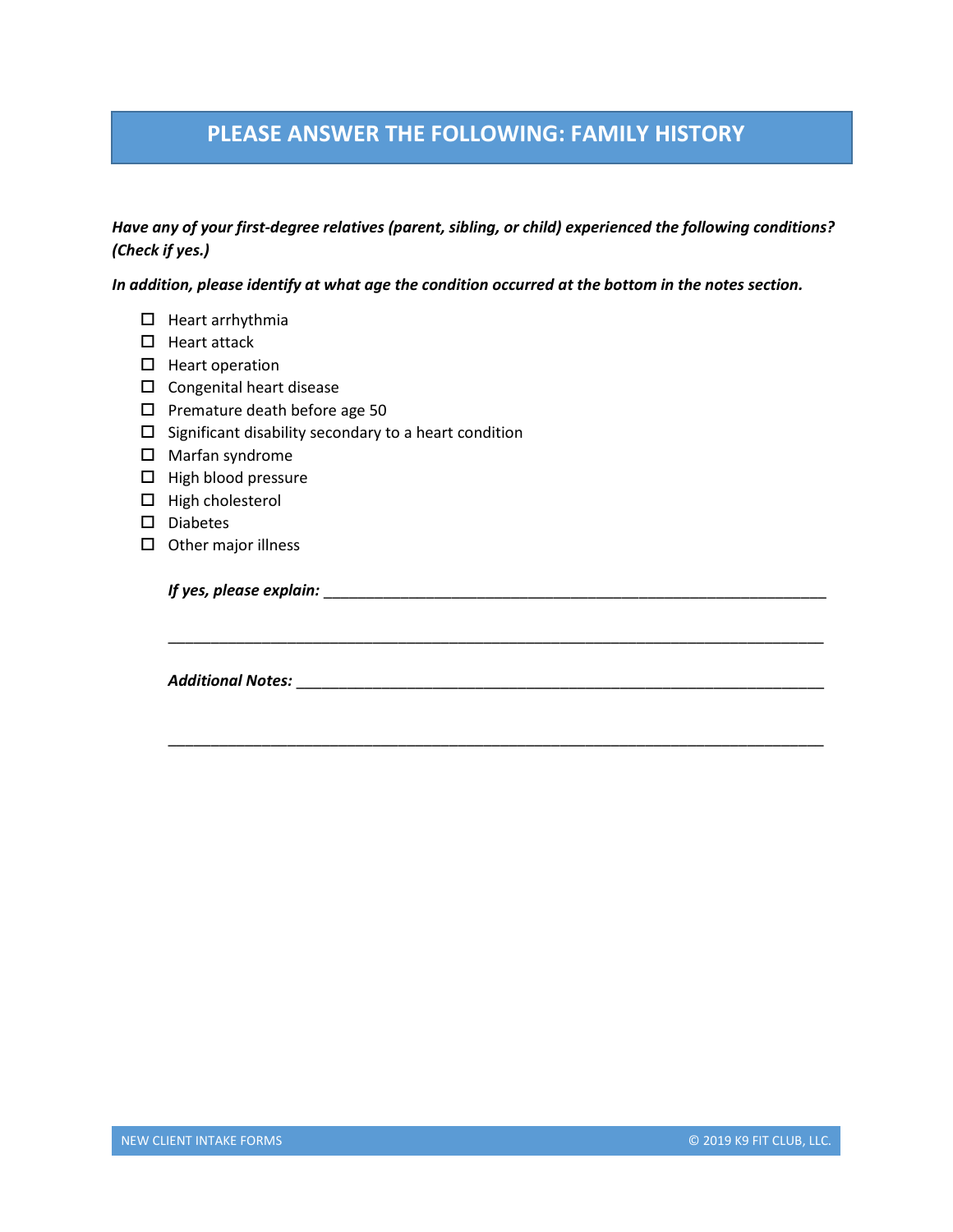## **PLEASE ANSWER THE FOLLOWING: FAMILY HISTORY**

### *Have any of your first-degree relatives (parent, sibling, or child) experienced the following conditions? (Check if yes.)*

\_\_\_\_\_\_\_\_\_\_\_\_\_\_\_\_\_\_\_\_\_\_\_\_\_\_\_\_\_\_\_\_\_\_\_\_\_\_\_\_\_\_\_\_\_\_\_\_\_\_\_\_\_\_\_\_\_\_\_\_\_\_\_\_\_\_\_\_\_\_\_\_\_\_\_\_\_

\_\_\_\_\_\_\_\_\_\_\_\_\_\_\_\_\_\_\_\_\_\_\_\_\_\_\_\_\_\_\_\_\_\_\_\_\_\_\_\_\_\_\_\_\_\_\_\_\_\_\_\_\_\_\_\_\_\_\_\_\_\_\_\_\_\_\_\_\_\_\_\_\_\_\_\_\_

*In addition, please identify at what age the condition occurred at the bottom in the notes section.*

- $\Box$  Heart arrhythmia
- $\Box$  Heart attack
- $\Box$  Heart operation
- $\square$  Congenital heart disease
- $\square$  Premature death before age 50
- $\square$  Significant disability secondary to a heart condition
- Marfan syndrome
- $\Box$  High blood pressure
- $\Box$  High cholesterol
- Diabetes
- $\square$  Other major illness

*If yes, please explain:* \_\_\_\_\_\_\_\_\_\_\_\_\_\_\_\_\_\_\_\_\_\_\_\_\_\_\_\_\_\_\_\_\_\_\_\_\_\_\_\_\_\_\_\_\_\_\_\_\_\_\_\_\_\_\_\_\_\_\_

*Additional Notes:* \_\_\_\_\_\_\_\_\_\_\_\_\_\_\_\_\_\_\_\_\_\_\_\_\_\_\_\_\_\_\_\_\_\_\_\_\_\_\_\_\_\_\_\_\_\_\_\_\_\_\_\_\_\_\_\_\_\_\_\_\_\_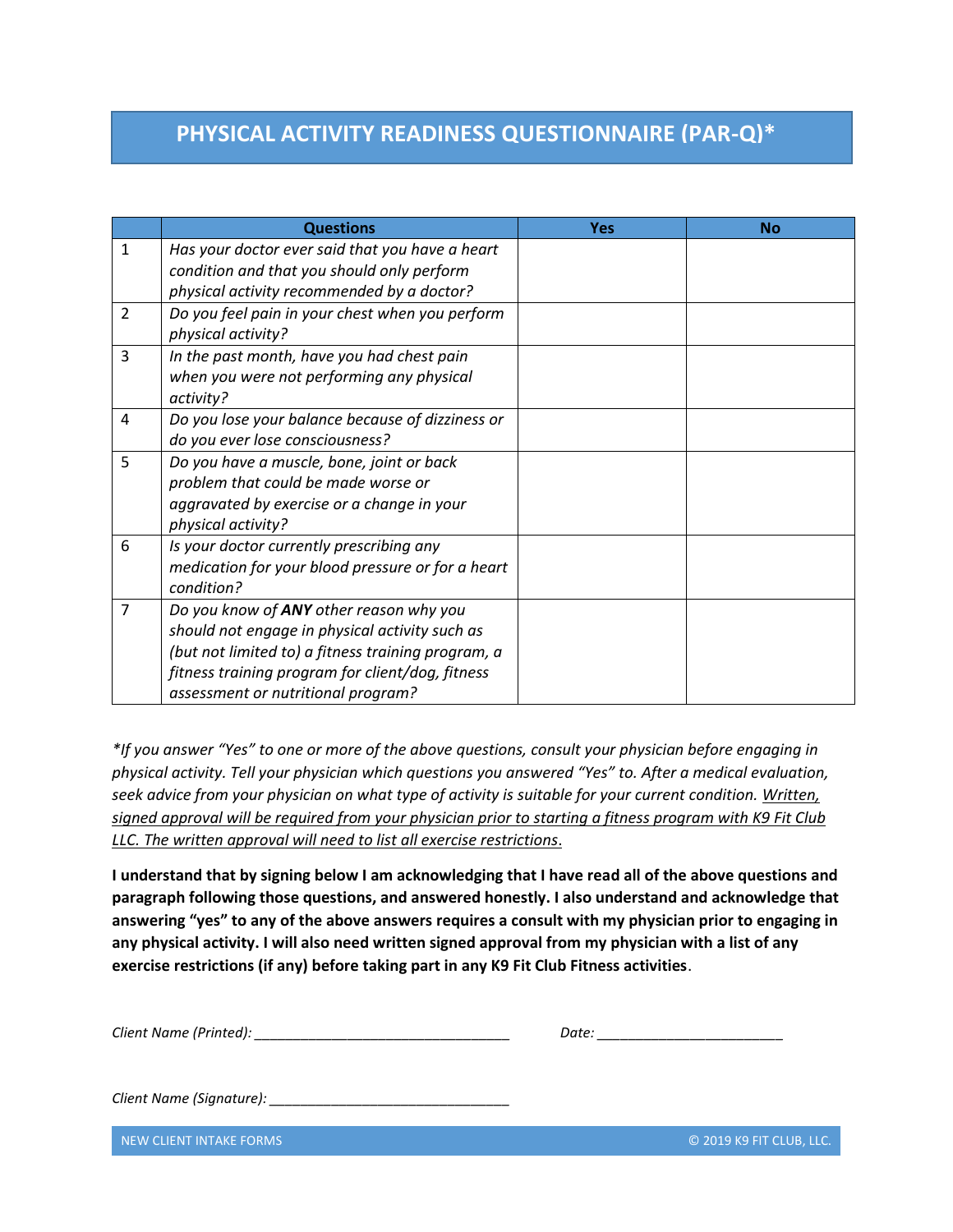## **PHYSICAL ACTIVITY READINESS QUESTIONNAIRE (PAR-Q)\***

|                | <b>Questions</b>                                                      | <b>Yes</b> | <b>No</b> |
|----------------|-----------------------------------------------------------------------|------------|-----------|
| 1              | Has your doctor ever said that you have a heart                       |            |           |
|                | condition and that you should only perform                            |            |           |
|                | physical activity recommended by a doctor?                            |            |           |
| $\overline{2}$ | Do you feel pain in your chest when you perform<br>physical activity? |            |           |
| 3              | In the past month, have you had chest pain                            |            |           |
|                | when you were not performing any physical                             |            |           |
|                | activity?                                                             |            |           |
| 4              | Do you lose your balance because of dizziness or                      |            |           |
|                | do you ever lose consciousness?                                       |            |           |
| 5              | Do you have a muscle, bone, joint or back                             |            |           |
|                | problem that could be made worse or                                   |            |           |
|                | aggravated by exercise or a change in your                            |            |           |
|                | physical activity?                                                    |            |           |
| 6              | Is your doctor currently prescribing any                              |            |           |
|                | medication for your blood pressure or for a heart                     |            |           |
|                | condition?                                                            |            |           |
| 7              | Do you know of ANY other reason why you                               |            |           |
|                | should not engage in physical activity such as                        |            |           |
|                | (but not limited to) a fitness training program, a                    |            |           |
|                | fitness training program for client/dog, fitness                      |            |           |
|                | assessment or nutritional program?                                    |            |           |

*\*If you answer "Yes" to one or more of the above questions, consult your physician before engaging in physical activity. Tell your physician which questions you answered "Yes" to. After a medical evaluation, seek advice from your physician on what type of activity is suitable for your current condition. Written, signed approval will be required from your physician prior to starting a fitness program with K9 Fit Club LLC. The written approval will need to list all exercise restrictions*.

**I understand that by signing below I am acknowledging that I have read all of the above questions and paragraph following those questions, and answered honestly. I also understand and acknowledge that answering "yes" to any of the above answers requires a consult with my physician prior to engaging in any physical activity. I will also need written signed approval from my physician with a list of any exercise restrictions (if any) before taking part in any K9 Fit Club Fitness activities**.

*Client Name (Printed):*  $\blacksquare$ 

| Date: |
|-------|
|-------|

*Client Name (Signature): \_\_\_\_\_\_\_\_\_\_\_\_\_\_\_\_\_\_\_\_\_\_\_\_\_\_\_\_\_\_\_* 

NEW CLIENT INTAKE FORMS © 2019 K9 FIT CLUB, LLC.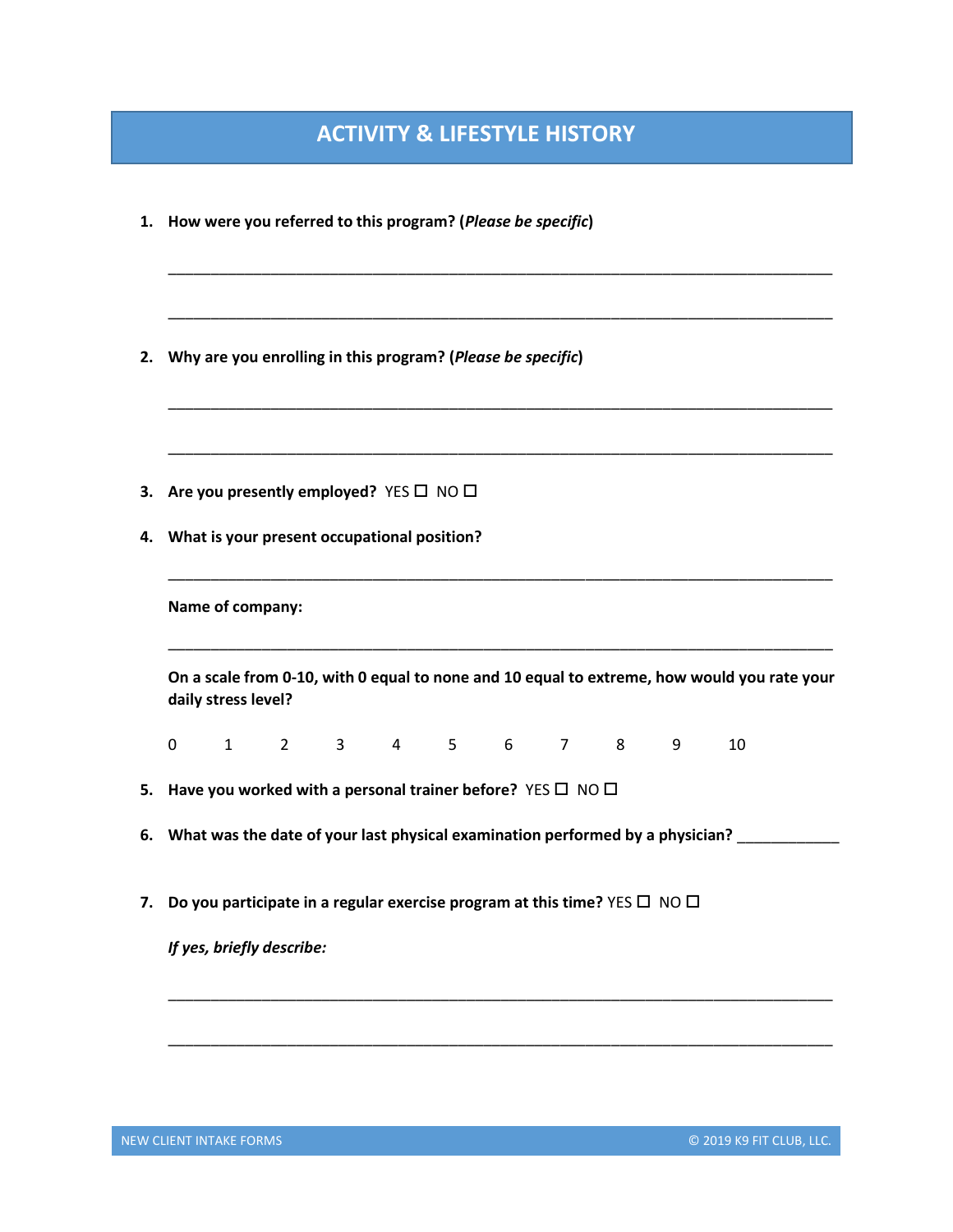## **ACTIVITY & LIFESTYLE HISTORY**

|    | 1. How were you referred to this program? (Please be specific)                                                     |
|----|--------------------------------------------------------------------------------------------------------------------|
|    |                                                                                                                    |
| 2. | Why are you enrolling in this program? (Please be specific)                                                        |
|    |                                                                                                                    |
|    | 3. Are you presently employed? YES □ NO □                                                                          |
| 4. | What is your present occupational position?                                                                        |
|    | Name of company:                                                                                                   |
|    | On a scale from 0-10, with 0 equal to none and 10 equal to extreme, how would you rate your<br>daily stress level? |
|    | 2 3 4 5 6 7 8<br>$1 \quad \blacksquare$<br>9<br>10<br>0                                                            |
| 5. | Have you worked with a personal trainer before? YES $\square$ NO $\square$                                         |
| 6. | What was the date of your last physical examination performed by a physician?                                      |
|    | 7. Do you participate in a regular exercise program at this time? YES $\square$ NO $\square$                       |
|    | If yes, briefly describe:                                                                                          |
|    |                                                                                                                    |
|    |                                                                                                                    |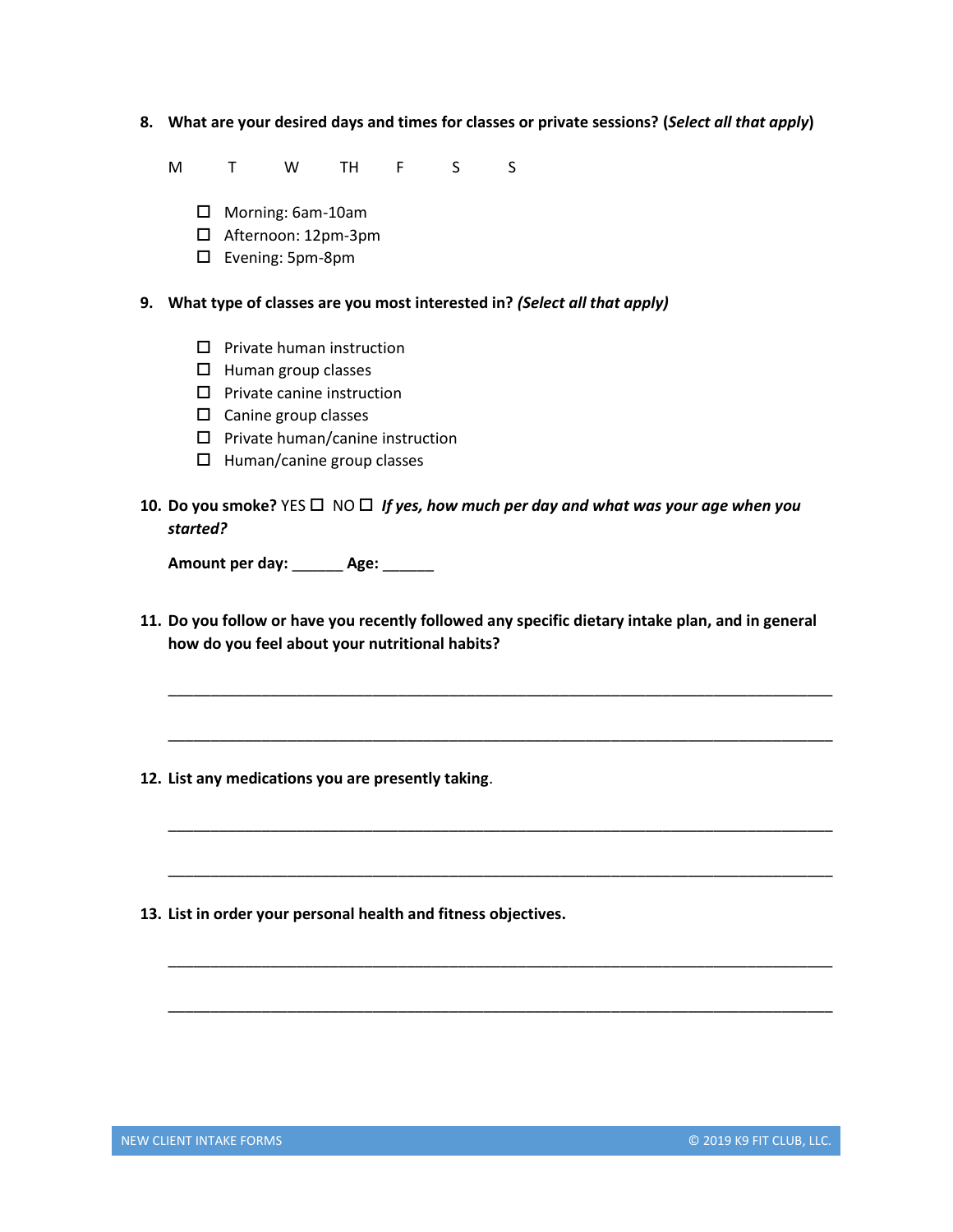**8. What are your desired days and times for classes or private sessions? (***Select all that apply***)**

M T W TH F S S

- Morning: 6am-10am
- □ Afternoon: 12pm-3pm
- Evening: 5pm-8pm

### **9. What type of classes are you most interested in?** *(Select all that apply)*

- $\square$  Private human instruction
- $\Box$  Human group classes
- $\square$  Private canine instruction
- $\square$  Canine group classes
- $\square$  Private human/canine instruction
- $\Box$  Human/canine group classes
- **10.** Do you smoke?  $YES \square \square \square$  *If yes, how much per day and what was your age when you started?*

**Amount per day:** \_\_\_\_\_\_ **Age:** \_\_\_\_\_\_

**11. Do you follow or have you recently followed any specific dietary intake plan, and in general how do you feel about your nutritional habits?**

\_\_\_\_\_\_\_\_\_\_\_\_\_\_\_\_\_\_\_\_\_\_\_\_\_\_\_\_\_\_\_\_\_\_\_\_\_\_\_\_\_\_\_\_\_\_\_\_\_\_\_\_\_\_\_\_\_\_\_\_\_\_\_\_\_\_\_\_\_\_\_\_\_\_\_\_\_\_

\_\_\_\_\_\_\_\_\_\_\_\_\_\_\_\_\_\_\_\_\_\_\_\_\_\_\_\_\_\_\_\_\_\_\_\_\_\_\_\_\_\_\_\_\_\_\_\_\_\_\_\_\_\_\_\_\_\_\_\_\_\_\_\_\_\_\_\_\_\_\_\_\_\_\_\_\_\_

\_\_\_\_\_\_\_\_\_\_\_\_\_\_\_\_\_\_\_\_\_\_\_\_\_\_\_\_\_\_\_\_\_\_\_\_\_\_\_\_\_\_\_\_\_\_\_\_\_\_\_\_\_\_\_\_\_\_\_\_\_\_\_\_\_\_\_\_\_\_\_\_\_\_\_\_\_\_

\_\_\_\_\_\_\_\_\_\_\_\_\_\_\_\_\_\_\_\_\_\_\_\_\_\_\_\_\_\_\_\_\_\_\_\_\_\_\_\_\_\_\_\_\_\_\_\_\_\_\_\_\_\_\_\_\_\_\_\_\_\_\_\_\_\_\_\_\_\_\_\_\_\_\_\_\_\_

\_\_\_\_\_\_\_\_\_\_\_\_\_\_\_\_\_\_\_\_\_\_\_\_\_\_\_\_\_\_\_\_\_\_\_\_\_\_\_\_\_\_\_\_\_\_\_\_\_\_\_\_\_\_\_\_\_\_\_\_\_\_\_\_\_\_\_\_\_\_\_\_\_\_\_\_\_\_

\_\_\_\_\_\_\_\_\_\_\_\_\_\_\_\_\_\_\_\_\_\_\_\_\_\_\_\_\_\_\_\_\_\_\_\_\_\_\_\_\_\_\_\_\_\_\_\_\_\_\_\_\_\_\_\_\_\_\_\_\_\_\_\_\_\_\_\_\_\_\_\_\_\_\_\_\_\_

- **12. List any medications you are presently taking**.
- **13. List in order your personal health and fitness objectives.**